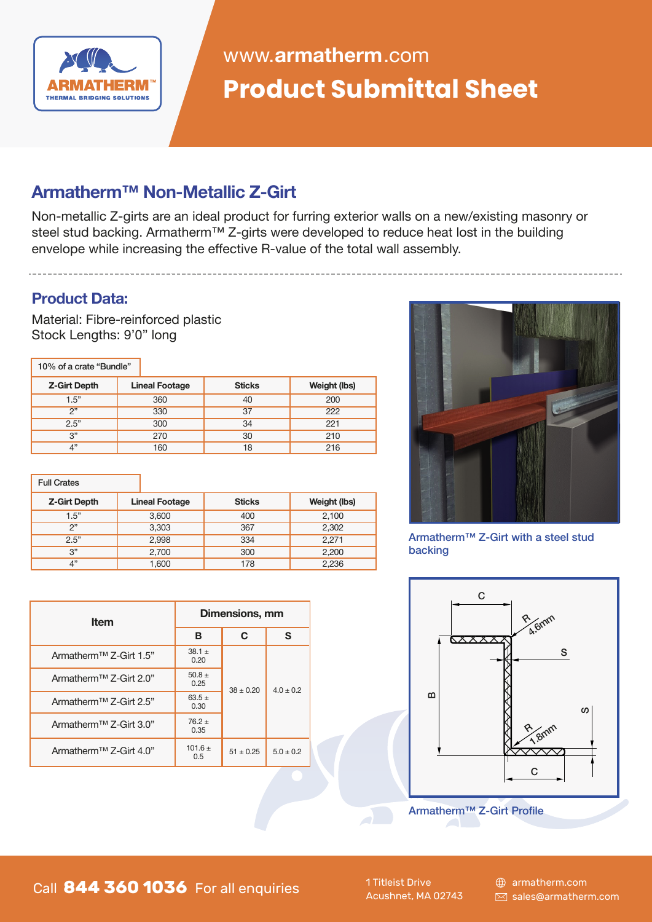

# **Product Submittal Sheet** www.**armatherm**.com

## **Armatherm™ Non-Metallic Z-Girt**

Non-metallic Z-girts are an ideal product for furring exterior walls on a new/existing masonry or steel stud backing. Armatherm™ Z-girts were developed to reduce heat lost in the building envelope while increasing the effective R-value of the total wall assembly.

#### **Product Data:**

Material: Fibre-reinforced plastic Stock Lengths: 9'0" long

| 10% of a crate "Bundle" |                       |               |              |
|-------------------------|-----------------------|---------------|--------------|
| <b>Z-Girt Depth</b>     | <b>Lineal Footage</b> | <b>Sticks</b> | Weight (lbs) |
| 1.5"                    | 360                   | 40            | 200          |
| 2"                      | 330                   | 37            | 222          |
| 2.5"                    | 300                   | 34            | 221          |
| 3"                      | 270                   | 30            | 210          |
| $\Lambda$ <sup>33</sup> | 160                   | 18            | 216          |

#### Full Crates **Z-Girt Depth**  $1.5"$  $2"$  $2.5"$ 3" 4" 3,600 3,303 2,998 2,700 1,600 400 367 334 300 178 2,100 2,302 2,271 2,200 2,236 **Lineal Footage Sticks Weight (lbs)**



Armatherm™ Z-Girt with a steel stud backing



| <b>Item</b>                        | Dimensions, mm     |               |             |
|------------------------------------|--------------------|---------------|-------------|
|                                    | в                  | C             | S           |
| Armatherm <sup>™</sup> Z-Girt 1.5" | $38.1 +$<br>0.20   |               | $4.0 + 0.2$ |
| Armatherm <sup>™</sup> Z-Girt 2.0" | $50.8 \pm$<br>0.25 | $38 + 0.20$   |             |
| Armatherm <sup>™</sup> Z-Girt 2.5" | $63.5 +$<br>0.30   |               |             |
| Armatherm <sup>™</sup> Z-Girt 3.0" | $76.2 +$<br>0.35   |               |             |
| Armatherm <sup>™</sup> Z-Girt 4.0" | $101.6 +$<br>0.5   | $51 \pm 0.25$ | $5.0 + 0.2$ |

Call 844 360 1036 For all enquiries<br>Acushnet, MA 02743 ⊠ sales@armatherm.com

1 Titleist Drive Acushnet, MA 02743 armatherm.com